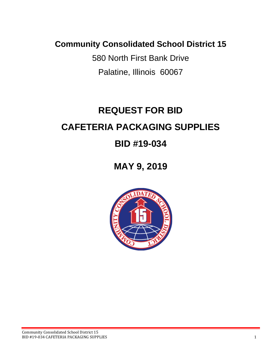**Community Consolidated School District 15**

580 North First Bank Drive Palatine, Illinois 60067

# **REQUEST FOR BID CAFETERIA PACKAGING SUPPLIES**

# **BID #19-034**

# **MAY 9, 2019**

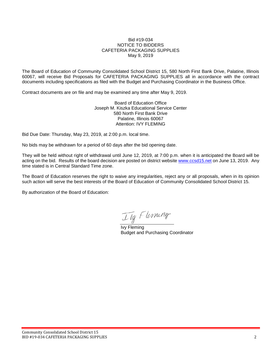#### Bid #19-034 NOTICE TO BIDDERS CAFETERIA PACKAGING SUPPLIES May 9, 2019

The Board of Education of Community Consolidated School District 15, 580 North First Bank Drive, Palatine, Illinois 60067, will receive Bid Proposals for CAFETERIA PACKAGING SUPPLIES all in accordance with the contract documents including specifications as filed with the Budget and Purchasing Coordinator in the Business Office.

Contract documents are on file and may be examined any time after May 9, 2019.

Board of Education Office Joseph M. Kiszka Educational Service Center 580 North First Bank Drive Palatine, Illinois 60067 Attention: IVY FLEMING

Bid Due Date: Thursday, May 23, 2019, at 2:00 p.m. local time.

No bids may be withdrawn for a period of 60 days after the bid opening date.

They will be held without right of withdrawal until June 12, 2019, at 7:00 p.m. when it is anticipated the Board will be acting on the bid. Results of the board decision are posted on district website [www.ccsd15.net](http://www.ccsd15.net/) on June 13, 2019. Any time stated is in Central Standard Time zone.

The Board of Education reserves the right to waive any irregularities, reject any or all proposals, when in its opinion such action will serve the best interests of the Board of Education of Community Consolidated School District 15.

By authorization of the Board of Education:

Ily Flerning

Ivy Fleming Budget and Purchasing Coordinator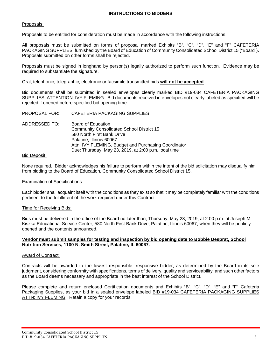#### **INSTRUCTIONS TO BIDDERS**

#### Proposals:

Proposals to be entitled for consideration must be made in accordance with the following instructions.

All proposals must be submitted on forms of proposal marked Exhibits "B", "C", "D", "E" and "F" CAFETERIA PACKAGING SUPPLIES, furnished by the Board of Education of Community Consolidated School District 15 ("Board"). Proposals submitted on other forms shall be rejected.

Proposals must be signed in longhand by person(s) legally authorized to perform such function. Evidence may be required to substantiate the signature.

Oral, telephonic, telegraphic, electronic or facsimile transmitted bids **will not be accepted**.

Bid documents shall be submitted in sealed envelopes clearly marked BID #19-034 CAFETERIA PACKAGING SUPPLIES, ATTENTION: IVY FLEMING. Bid documents received in envelopes not clearly labeled as specified will be rejected if opened before specified bid opening time.

- PROPOSAL FOR: CAFETERIA PACKAGING SUPPLIES
- ADDRESSED TO: Board of Education Community Consolidated School District 15 580 North First Bank Drive Palatine, Illinois 60067 Attn: IVY FLEMING, Budget and Purchasing Coordinator Due: Thursday, May 23, 2019, at 2:00 p.m. local time

#### Bid Deposit:

None required. Bidder acknowledges his failure to perform within the intent of the bid solicitation may disqualify him from bidding to the Board of Education, Community Consolidated School District 15.

#### Examination of Specifications:

Each bidder shall acquaint itself with the conditions as they exist so that it may be completely familiar with the conditions pertinent to the fulfillment of the work required under this Contract.

#### Time for Receiving Bids:

Bids must be delivered in the office of the Board no later than, Thursday, May 23, 2019, at 2:00 p.m. at Joseph M. Kiszka Educational Service Center, 580 North First Bank Drive, Palatine, Illinois 60067, when they will be publicly opened and the contents announced.

#### **Vendor must submit samples for testing and inspection by bid opening date to Bobbie Desprat, School Nutrition Services, 1100 N. Smith Street, Palatine, IL 60067.**

#### Award of Contract:

Contracts will be awarded to the lowest responsible, responsive bidder, as determined by the Board in its sole judgment, considering conformity with specifications, terms of delivery, quality and serviceability, and such other factors as the Board deems necessary and appropriate in the best interest of the School District.

Please complete and return enclosed Certification documents and Exhibits "B", "C", "D", "E" and "F" Cafeteria Packaging Supplies, as your bid in a sealed envelope labeled BID #19-034 CAFETERIA PACKAGING SUPPLIES ATTN: IVY FLEMING. Retain a copy for your records.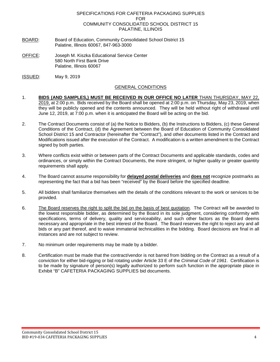#### SPECIFICATIONS FOR CAFETERIA PACKAGING SUPPLIES FOR COMMUNITY CONSOLIDATED SCHOOL DISTRICT 15 PALATINE, ILLINOIS

- BOARD: Board of Education, Community Consolidated School District 15 Palatine, Illinois 60067, 847-963-3000
- OFFICE: Joseph M. Kiszka Educational Service Center 580 North First Bank Drive Palatine, Illinois 60067
- ISSUED: May 9, 2019

#### GENERAL CONDITIONS

- 1. **BIDS (AND SAMPLES,) MUST BE RECEIVED IN OUR OFFICE NO LATER** THAN THURSDAY, MAY 22, 2019, at 2:00 p.m. Bids received by the Board shall be opened at 2:00 p.m. on Thursday, May 23, 2019, when they will be publicly opened and the contents announced. They will be held without right of withdrawal until June 12, 2019, at 7:00 p.m. when it is anticipated the Board will be acting on the bid.
- 2. The Contract Documents consist of (a) the Notice to Bidders, (b) the Instructions to Bidders, (c) these General Conditions of the Contract, (d) the Agreement between the Board of Education of Community Consolidated School District 15 and Contractor (hereinafter the "Contract"), and other documents listed in the Contract and Modifications issued after the execution of the Contract. A modification is a written amendment to the Contract signed by both parties.
- 3. Where conflicts exist within or between parts of the Contract Documents and applicable standards, codes and ordinances, or simply within the Contract Documents, the more stringent, or higher quality or greater quantity requirements shall apply.
- 4. The Board cannot assume responsibility for **delayed postal deliveries** and **does not** recognize postmarks as representing the fact that a bid has been "received" by the Board before the specified deadline.
- 5. All bidders shall familiarize themselves with the details of the conditions relevant to the work or services to be provided.
- 6. The Board reserves the right to split the bid on the basis of best quotation. The Contract will be awarded to the lowest responsible bidder, as determined by the Board in its sole judgment, considering conformity with specifications, terms of delivery, quality and serviceability, and such other factors as the Board deems necessary and appropriate in the best interest of the Board. The Board reserves the right to reject any and all bids or any part thereof, and to waive immaterial technicalities in the bidding. Board decisions are final in all instances and are not subject to review.
- 7. No minimum order requirements may be made by a bidder.
- 8. Certification must be made that the contract/vendor is not barred from bidding on the Contract as a result of a conviction for either bid-rigging or bid rotating under Article 33 E of the *Criminal Code of 1961*. Certification is to be made by signature of person(s) legally authorized to perform such function in the appropriate place in Exhibit "B" CAFETERIA PACKAGING SUPPLIES bid documents.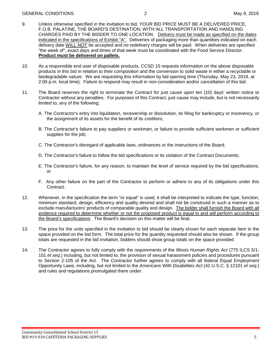- 9. Unless otherwise specified in the invitation to bid, YOUR BID PRICE MUST BE A DELIVERED PRICE, F.O.B. PALATINE, THE BOARD'S DESTINATION, WITH ALL TRANSPORTATION AND HANDLING CHARGES PAID BY THE BIDDER TO ONE LOCATION. Delivery must be made as specified on the dates indicated in the specifications of Exhibit "A". Deliveries of packaging more than quantities indicated on each delivery date WILL NOT be accepted and no redelivery charges will be paid. When deliveries are specified "the week of", exact days and times of that week must be coordinated with the Food Service Director. **Product must be delivered on pallets.**
- 10. As a responsible end user of disposable products, CCSD 15 requests information on the above disposable products in this bid in relation to their composition and the conversion to solid waste in either a recyclable or biodegradable nature. We are requesting this information by bid opening time (Thursday, May 23, 2019, at 2:00 p.m. local time). Failure to respond may result in non-consideration and/or cancellation of this bid.
- 11. The Board reserves the right to terminate the Contract for just cause upon ten (10) days' written notice to Contractor without any penalties. For purposes of this Contract, just cause may include, but is not necessarily limited to, any of the following:
	- A. The Contractor's entry into liquidation, receivership or dissolution, its filing for bankruptcy or insolvency, or the assignment of its assets for the benefit of its creditors;
	- B. The Contractor's failure to pay suppliers or workmen, or failure to provide sufficient workmen or sufficient supplies for the job;
	- C. The Contractor's disregard of applicable laws, ordinances or the instructions of the Board;
	- D. The Contractor's failure to follow the bid specifications or its violation of the Contract Documents;
	- E. The Contractor's failure, for any reason, to maintain the level of service required by the bid specifications; or
	- F. Any other failure on the part of the Contractor to perform or adhere to any of its obligations under this Contract.
- 12. Whenever, in the specification the term "or equal" is used, it shall be interpreted to indicate the type, function, minimum standard, design, efficiency and quality desired and shall not be construed in such a manner as to exclude manufacturers' products of comparable quality and design. The bidder shall furnish the Board with all evidence required to determine whether or not the proposed product is equal to and will perform according to the Board's specifications. The Board's decision on this matter will be final.
- 13. The price for the units specified in the invitation to bid should be clearly shown for each separate item in the space provided on the bid form. The total price for the quantity requested should also be shown. If the group totals are requested in the bid invitation, bidders should show group totals on the space provided.
- 14. The Contractor agrees to fully comply with the requirements of the *Illinois Human Rights Act* (775 ILCS 5/1- 101 *et seq*.) including, but not limited to, the provision of sexual harassment policies and procedures pursuant to Section 2-105 of the Act. The Contractor further agrees to comply with all federal Equal Employment Opportunity Laws, including, but not limited to the *Americans With Disabilities Act* (42 U.S.C. § 12101 *et seq*.) and rules and regulations promulgated there under.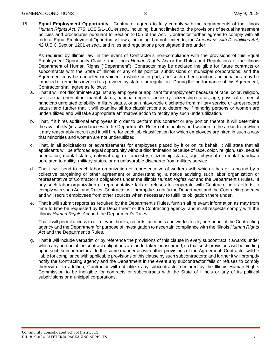15. **Equal Employment Opportunity.** Contractor agrees to fully comply with the requirements of the Illinois *Human Rights Act*, 775 ILCS 5/1-101 *et seq*., including, but not limited to, the provisions of sexual harassment policies and procedures pursuant to Section 2-105 of the Act. Contractor further agrees to comply with all federal Equal Employment Opportunity Laws, including, but not limited to, the *Americans with Disabilities Act*, 42 U.S.C Section 1201 *et seq*., and rules and regulations promulgated there under.

As required by Illinois law, in the event of Contractor's non-compliance with the provisions of this Equal Employment Opportunity Clause, the Illinois *Human Rights Act* or the Rules and Regulations of the Illinois Department of Human Rights ("Department"), Contractor may be declared ineligible for future contracts or subcontracts with the State of Illinois or any of its political subdivisions or municipal corporations, and the Agreement may be canceled or voided in whole or in part, and such other sanctions or penalties may be imposed or remedies invoked as provided by statute or regulation. During the performance of this Agreement, Contractor shall agree as follows:

- a. That it will not discriminate against any employee or applicant for employment because of race, color, religion, sex, sexual orientation, marital status, national origin or ancestry, citizenship status, age, physical or mental handicap unrelated to ability, military status, or an unfavorable discharge from military service or arrest record status; and further that it will examine all job classifications to determine if minority persons or women are underutilized and will take appropriate affirmative action to rectify any such underutilization.
- b. That, if it hires additional employees in order to perform this contract or any portion thereof, it will determine the availability (in accordance with the Department's Rules) of minorities and women in the areas from which it may reasonably recruit and it will hire for each job classification for which employees are hired in such a way that minorities and women are not underutilized.
- c. That, in all solicitations or advertisements for employees placed by it or on its behalf, it will state that all applicants will be afforded equal opportunity without discrimination because of race, color, religion, sex, sexual orientation, marital status, national origin or ancestry, citizenship status, age, physical or mental handicap unrelated to ability, military status, or an unfavorable discharge from military service.
- d. That it will send to each labor organization or representative of workers with which it has or is bound by a collective bargaining or other agreement or understanding, a notice advising such labor organization or representative of Contractor's obligations under the Illinois *Human Rights Act* and the Department's Rules. If any such labor organization or representative fails or refuses to cooperate with Contractor in its efforts to comply with such Act and Rules, Contractor will promptly so notify the Department and the Contracting agency and will recruit employees from other sources when necessary to fulfill its obligation there under.
- e. That it will submit reports as required by the Department's Rules, furnish all relevant information as may from time to time be requested by the Department or the Contracting agency, and in all respects comply with the Illinois *Human Rights Act* and the Department's Rules.
- f. That it will permit access to all relevant books, records, accounts and work sites by personnel of the Contracting agency and the Department for purpose of investigation to ascertain compliance with the Illinois *Human Rights Act* and the Department's Rules.
- g. That it will include verbatim or by reference the provisions of this clause in every subcontract it awards under which any portion of the contract obligations are undertaken or assumed, so that such provisions will be binding upon such subcontractors. In the same manner as with other provisions of the Agreement, Contractor will be liable for compliance with applicable provisions of this clause by such subcontractors; and further it will promptly notify the Contracting agency and the Department in the event any subcontractor fails or refuses to comply therewith. In addition, Contractor will not utilize any subcontractor declared by the Illinois Human Rights Commission to be ineligible for contracts or subcontracts with the State of Illinois or any of its political subdivisions or municipal corporations.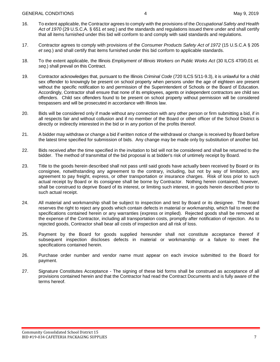- 16. To extent applicable, the Contractor agrees to comply with the provisions of the *Occupational Safety and Health Act of 1970* (29 U.S.C.A. § 651 *et seq.*) and the standards and regulations issued there under and shall certify that all items furnished under this bid will conform to and comply with said standards and regulations.
- 17. Contractor agrees to comply with provisions of the *Consumer Products Safety Act of 1972* (15 U.S.C.A § 205 *et seq.*) and shall certify that items furnished under this bid conform to applicable standards.
- 18. To the extent applicable, the Illinois *Employment of Illinois Workers on Public Works Act* (30 ILCS 470/0.01 *et. seq*.) shall prevail on this Contract.
- 19. Contractor acknowledges that, pursuant to the Illinois *Criminal Code* (720 ILCS 5/11-9.3), it is unlawful for a child sex offender to knowingly be present on school property when persons under the age of eighteen are present without the specific notification to and permission of the Superintendent of Schools or the Board of Education. Accordingly, Contractor shall ensure that none of its employees, agents or independent contractors are child sex offenders. Child sex offenders found to be present on school property without permission will be considered trespassers and will be prosecuted in accordance with Illinois law.
- 20. Bids will be considered only if made without any connection with any other person or firm submitting a bid, if in all respects fair and without collusion and if no member of the Board or other officer of the School District is directly or indirectly interested in the bid or in any portion of the profits thereof.
- 21. A bidder may withdraw or change a bid if written notice of the withdrawal or change is received by Board before the latest time specified for submission of bids. Any change may be made only by substitution of another bid.
- 22. Bids received after the time specified in the invitation to bid will not be considered and shall be returned to the bidder. The method of transmittal of the bid proposal is at bidder's risk of untimely receipt by Board.
- 23. Title to the goods herein described shall not pass until said goods have actually been received by Board or its consignee, notwithstanding any agreement to the contrary, including, but not by way of limitation, any agreement to pay freight, express, or other transportation or insurance charges. Risk of loss prior to such actual receipt by Board or its consignee shall be borne by Contractor. Nothing herein contained, however, shall be construed to deprive Board of its interest, or limiting such interest, in goods herein described prior to such actual receipt.
- 24. All material and workmanship shall be subject to inspection and test by Board or its designee. The Board reserves the right to reject any goods which contain defects in material or workmanship, which fail to meet the specifications contained herein or any warranties (express or implied). Rejected goods shall be removed at the expense of the Contractor, including all transportation costs, promptly after notification of rejection. As to rejected goods, Contractor shall bear all costs of inspection and all risk of loss.
- 25. Payment by the Board for goods supplied hereunder shall not constitute acceptance thereof if subsequent inspection discloses defects in material or workmanship or a failure to meet the specifications contained herein.
- 26. Purchase order number and vendor name must appear on each invoice submitted to the Board for payment.
- 27. Signature Constitutes Acceptance The signing of these bid forms shall be construed as acceptance of all provisions contained herein and that the Contractor had read the Contract Documents and is fully aware of the terms hereof.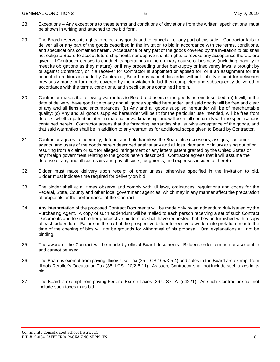- 29. The Board reserves its rights to reject any goods and to cancel all or any part of this sale if Contractor fails to deliver all or any part of the goods described in the invitation to bid in accordance with the terms, conditions, and specifications contained herein. Acceptance of any part of the goods covered by the invitation to bid shall not obligate Board to accept future shipments nor deprive it of its rights to revoke any acceptance theretofore given. If Contractor ceases to conduct its operations in the ordinary course of business (including inability to meet its obligations as they mature), or if any proceeding under bankruptcy or insolvency laws is brought by or against Contractor, or if a receiver for Contractor is appointed or applied for, or if an assignment for the benefit of creditors is made by Contractor, Board may cancel this order without liability except for deliveries previously made or for goods covered by the invitation to bid then completed and subsequently delivered in accordance with the terms, conditions, and specifications contained herein.
- 30. Contractor makes the following warranties to Board and users of the goods herein described: (a) It will, at the date of delivery, have good title to any and all goods supplied hereunder, and said goods will be free and clear of any and all liens and encumbrances; (b) Any and all goods supplied hereunder will be of merchantable quality; (c) Any and all goods supplied hereunder will be fit for the particular use intended, will be free from defects, whether patent or latent in material or workmanship, and will be in full conformity with the specifications contained herein. Contractor agrees that the foregoing warranties shall survive acceptance of the goods, and that said warranties shall be in addition to any warranties for additional scope given to Board by Contractor.
- 31. Contractor agrees to indemnify, defend, and hold harmless the Board, its successors, assigns, customer, agents, and users of the goods herein described against any and all loss, damage, or injury arising out of or resulting from a claim or suit for alleged infringement or any letters patent granted by the United States or any foreign government relating to the goods herein described. Contractor agrees that it will assume the defense of any and all such suits and pay all costs, judgments, and expenses incidental thereto.
- 32. Bidder must make delivery upon receipt of order unless otherwise specified in the invitation to bid. Bidder must indicate time required for delivery on bid.
- 33. The bidder shall at all times observe and comply with all laws, ordinances, regulations and codes for the Federal, State, County and other local government agencies, which may in any manner affect the preparation of proposals or the performance of the Contract.
- 34. Any interpretation of the proposed Contract Documents will be made only by an addendum duly issued by the Purchasing Agent. A copy of such addendum will be mailed to each person receiving a set of such Contract Documents and to such other prospective bidders as shall have requested that they be furnished with a copy of each addendum. Failure on the part of the prospective bidder to receive a written interpretation prior to the time of the opening of bids will not be grounds for withdrawal of his proposal. Oral explanations will not be binding.
- 35. The award of the Contract will be made by official Board documents. Bidder's order form is not acceptable and cannot be used.
- 36. The Board is exempt from paying Illinois Use Tax (35 ILCS 105/3-5.4) and sales to the Board are exempt from Illinois Retailer's Occupation Tax (35 ILCS 120/2-5.11). As such, Contractor shall not include such taxes in its bid.
- 37. The Board is exempt from paying Federal Excise Taxes (26 U.S.C.A. § 4221). As such, Contractor shall not include such taxes in its bid.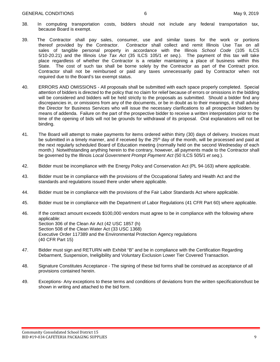- 38. In computing transportation costs, bidders should not include any federal transportation tax, because Board is exempt.
- 39. The Contractor shall pay sales, consumer, use and similar taxes for the work or portions Contractor shall collect and remit Illinois Use Tax on all sales of tangible personal property in accordance with the Illinois *School Code* (105 ILCS 5/10-20.21) and the Illinois *Use Tax Act* (35 ILCS 105/1 *et seq*.). The payment of this tax will take place regardless of whether the Contractor is a retailer maintaining a place of business within this State. The cost of such tax shall be borne solely by the Contractor as part of the Contract price. Contractor shall not be reimbursed or paid any taxes unnecessarily paid by Contractor when not required due to the Board's tax exempt status.
- 40. ERRORS AND OMISSIONS All proposals shall be submitted with each space properly completed. Special attention of bidders is directed to the policy that no claim for relief because of errors or omissions in the bidding will be considered and bidders will be held strictly to the proposals as submitted. Should a bidder find any discrepancies in, or omissions from any of the documents, or be in doubt as to their meanings, it shall advise the Director for Business Services who will issue the necessary clarifications to all prospective bidders by means of addenda. Failure on the part of the prospective bidder to receive a written interpretation prior to the time of the opening of bids will not be grounds for withdrawal of its proposal. Oral explanations will not be binding.
- 41. The Board will attempt to make payments for items ordered within thirty (30) days of delivery. Invoices must be submitted in a timely manner, and if received by the 25<sup>th</sup> day of the month, will be processed and paid at the next regularly scheduled Board of Education meeting (normally held on the second Wednesday of each month.) Notwithstanding anything herein to the contrary, however, all payments made to the Contractor shall be governed by the Illinois *Local Government Prompt Payment Act* (50 ILCS 505/1 *et seq*.).
- 42. Bidder must be incompliance with the Energy Policy and Conservation Act (PL 94-163) where applicable.
- 43. Bidder must be in compliance with the provisions of the Occupational Safety and Health Act and the standards and regulations issued there under where applicable.
- 44. Bidder must be in compliance with the provisions of the Fair Labor Standards Act where applicable.
- 45. Bidder must be in compliance with the Department of Labor Regulations (41 CFR Part 60) where applicable.
- 46. If the contract amount exceeds \$100,000 vendors must agree to be in compliance with the following where applicable: Section 306 of the Clean Air Act (42 USC 1857 (h) Section 508 of the Clean Water Act (33 USC 1368) Executive Order 117389 and the Environmental Protection Agency regulations (40 CFR Part 15)
- 47. Bidder must sign and RETURN with Exhibit "B" and be in compliance with the Certification Regarding Debarment, Suspension, Ineligibility and Voluntary Exclusion Lower Tier Covered Transaction.
- 48. Signature Constitutes Acceptance The signing of these bid forms shall be construed as acceptance of all provisions contained herein.
- 49. Exceptions- Any exceptions to these terms and conditions of deviations from the written specifications9ust be shown in writing and attached to the bid form.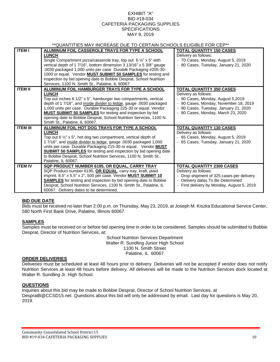#### EXHIBIT "A" BID #19-034 CAFETERIA PACKAGING SUPPLIES **SPECIFICATIONS** MAY 9, 2019

### \*\*QUANTITIES MAY INCREASE DUE TO CERTAIN SCHOOLS ELIGIBLE FOR CEP\*\*

| <b>ITEM I</b>   | ALUMINUM FOIL CASSEROLE TRAYS FOR TYPE A SCHOOL                                  | <b>TOTAL QUANTITY 150 CASES</b>          |
|-----------------|----------------------------------------------------------------------------------|------------------------------------------|
|                 | <b>LUNCH</b>                                                                     | Delivery as follows:                     |
|                 | Single Compartment pizza/casserole tray, top out 6 1/2" x 5" with                | - 70 Cases, Monday, August 5, 2019       |
|                 | vertical depth of 1 7/16", bottom dimension 3 13/16" x 5 3/8" gauge              | - 80 Cases, Tuesday, January 21, 2020    |
|                 | .0030 packaged 1,000 units per case Durable Packaging #205-30-                   |                                          |
|                 | 1000 or equal. Vendor <b>MUST SUBMIT 50 SAMPLES</b> for testing and              |                                          |
|                 | inspection by bid opening date to Bobbie Desprat, School Nutrition               |                                          |
|                 | Services, 1100 N. Smith St., Palatine, IL 60067                                  |                                          |
| <b>ITEM II</b>  | ALUMINUM FOIL HAMBURGER TRAYS FOR TYPE A SCHOOL                                  | <b>TOTAL QUANTITY 350 CASES</b>          |
|                 | <b>LUNCH</b>                                                                     | Delivery as follows:                     |
|                 | Top out inches 6 1/2" x 5", hamburger two compartments, vertical                 | - 90 Cases, Monday, August 5,2019        |
|                 | depth of 1 7/16", and inside divider to ledge, gauge .0030 packaged              | 90 Cases, Monday, November 18, 2019      |
|                 | 1,000 units per case. Durable Packaging 225-30 or equal. Vendor                  | - 90 Cases, Tuesday, January 21, 2020    |
|                 | <b>MUST SUBMIT 50 SAMPLES</b> for testing and inspection by bid                  | - 80 Cases, Monday, March 23, 2020       |
|                 | opening date to Bobbie Desprat, School Nutrition Services, 1100 N.               |                                          |
|                 | Smith St., Palatine, IL 60067.                                                   |                                          |
| <b>ITEM III</b> | ALUMINUM FOIL HOT DOG TRAYS FOR TYPE A SCHOOL                                    | <b>TOTAL QUANTITY 130 CASES</b>          |
|                 | <b>LUNCH</b>                                                                     | Delivery as follows:                     |
|                 | Top out 6 $\frac{1}{2}$ " x 5", hot dog two compartment, vertical depth of       | - 65 Cases, Monday, August 5, 2019       |
|                 | 1 7/16", and inside divider to ledge, gauge .0030 packaged 1,000                 | - 65 Cases, Tuesday, January 21, 2020    |
|                 | units per case. Durable Packaging 215-30 or equal. Vendor <b>MUST</b>            |                                          |
|                 | <b>SUBMIT 50 SAMPLES</b> for testing and inspection by bid opening date          |                                          |
|                 | to Bobbie Desprat, School Nutrition Services, 1100 N. Smith St.,                 |                                          |
|                 | Palatine. IL 60067.                                                              |                                          |
| <b>ITEM IV</b>  | SQP PRODUCT NUMBER 6195, OR EQUAL, CARRY TRAY                                    | <b>TOTAL QUANTITY 2300 CASES</b>         |
|                 | SQP Product number 6195, OR EQUAL, carry tray, kraft, plaid                      | Delivery as follows:                     |
|                 | imprint. $8.5$ " x $5.5$ " x $2$ ", $500$ per case. Vendor <b>MUST SUBMIT 10</b> | Drop shipment of 325 cases per delivery  |
|                 | <b>SAMPLES</b> for testing and inspection by bid opening date to Bobbie          | Delivery dates To Be Determined          |
|                 | Desprat, School Nutrition Services, 1100 N. Smith St., Palatine, IL              | First delivery by Monday, August 5, 2019 |
|                 | 60067. Delivery dates to be determined.                                          |                                          |

#### **BID DUE DATE**

Bids must be received no later than 2:00 p.m. on Thursday, May 23, 2019, at Joseph M. Kiszka Educational Service Center, 580 North First Bank Drive, Palatine, Illinois 60067.

#### **SAMPLES**

Samples must be received on or before bid opening time in order to be considered. Samples should be submitted to Bobbie Desprat, Director of Nutrition Services, at:

> School Nutrition Services Department Walter R. Sundling Junior High School 1100 N. Smith Street Palatine, IL 60067

#### **ORDER DELIVERIES**

Deliveries must be scheduled at least 48 hours prior to delivery. Deliveries will not be accepted if vendor does not notify Nutrition Services at least 48 hours before delivery. All deliveries will be made to the Nutrition Services dock located at Walter R. Sundling Jr. High School.

#### **QUESTIONS**

Inquiries about this bid may be made to Bobbie Desprat, Director of School Nutrition Services, at DespratB@CCSD15.net. Questions about this bid will only be addressed by email. Last day for questions is May 20, 2019.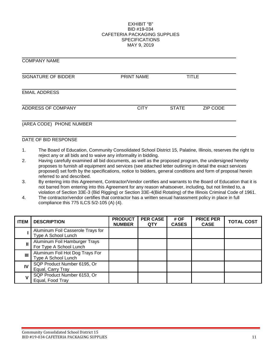#### EXHIBIT "B" BID #19-034 CAFETERIA PACKAGING SUPPLIES **SPECIFICATIONS** MAY 9, 2019

| <b>UUIVIE AIN LINAIVIL</b> |                   |              |                 |  |
|----------------------------|-------------------|--------------|-----------------|--|
| SIGNATURE OF BIDDER        | <b>PRINT NAME</b> | TITLE        |                 |  |
| <b>EMAIL ADDRESS</b>       |                   |              |                 |  |
| ADDRESS OF COMPANY         | <b>CITY</b>       | <b>STATE</b> | <b>ZIP CODE</b> |  |
| (AREA CODE) PHONE NUMBER   |                   |              |                 |  |

#### DATE OF BID RESPONSE

COMPANY NAME

- 1. The Board of Education, Community Consolidated School District 15, Palatine, Illinois, reserves the right to reject any or all bids and to waive any informality in bidding.
- 2. Having carefully examined all bid documents, as well as the proposed program, the undersigned hereby proposes to furnish all equipment and services (see attached letter outlining in detail the exact services proposed) set forth by the specifications, notice to bidders, general conditions and form of proposal herein referred to and described.
- 3. By entering into this Agreement, Contractor/Vendor certifies and warrants to the Board of Education that it is not barred from entering into this Agreement for any reason whatsoever, including, but not limited to, a violation of Section 33E-3 (Bid Rigging) or Section 33E-4(Bid Rotating) of the Illinois Criminal Code of 1961.
- 4. The contractor/vendor certifies that contractor has a written sexual harassment policy in place in full compliance this 775 ILCS 5/2-105 (A) (4).

| <b>ITEM</b> | <b>DESCRIPTION</b>                                       | <b>PRODUCT</b><br><b>NUMBER</b> | <b>PER CASE</b><br><b>QTY</b> | # OF<br><b>CASES</b> | <b>PRICE PER</b><br><b>CASE</b> | <b>TOTAL COST</b> |
|-------------|----------------------------------------------------------|---------------------------------|-------------------------------|----------------------|---------------------------------|-------------------|
|             | Aluminum Foil Casserole Trays for<br>Type A School Lunch |                                 |                               |                      |                                 |                   |
|             | Aluminum Foil Hamburger Trays<br>For Type A School Lunch |                                 |                               |                      |                                 |                   |
| Ш           | Aluminum Foil Hot Dog Trays For<br>Type A School Lunch   |                                 |                               |                      |                                 |                   |
| IV          | SQP Product Number 6195, Or<br>Equal, Carry Tray         |                                 |                               |                      |                                 |                   |
|             | SQP Product Number 6153, Or<br>Equal, Food Tray          |                                 |                               |                      |                                 |                   |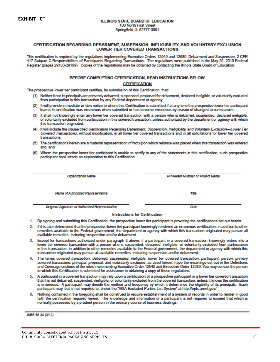#### CERTIFICATION REGARDING DEBARMENT, SUSPENSION, INELIGIBILITY, AND VOLUNTARY EXCLUSION **LOWER TIER COVERED TRANSACTIONS**

This certification is required by the regulations implementing Executive Orders 12549 and 12689, Debarment and Suspension, 2 CFR 417 Subpart C Responsibilities of Participants Regarding Transactions. The regulations were published in the May 25, 2010 Federal Register (pages 29183-29189). Copies of the regulations may be obtained by contacting the Illinois State Board of Education.

#### BEFORE COMPLETING CERTIFICATION, READ INSTRUCTIONS BELOW. **CERTIFICATION**

The prospective lower tier participant certifies, by submission of this Certification, that:

- (1) Neither it nor its principals are presently debarred, suspended, proposed for debarment, declared ineligible, or voluntarily excluded from participation in this transaction by any Federal department or agency;
- (2) It will provide immediate written notice to whom this Certification is submitted if at any time the prospective lower tier participant leams its certification was erroneous when submitted or has become erroneous by reason of changed circumstances:
- (3) It shall not knowingly enter any lower tier covered transaction with a person who is debarred, suspended, declared ineligible, or voluntarily excluded from participation in this covered transaction, unless authorized by the department or agency with which this transaction originated;
- (4) It will include the clause titled Certification Regarding Debarment, Suspension, Ineligibility, and Voluntary Exclusion-Lower Tier Covered Transactions, without modification, in all lower tier covered transactions and in all solicitations for lower tier covered transactions:
- (5) The certifications herein are a material representation of fact upon which reliance was placed when this transaction was entered into: and
- (6) Where the prospective lower tier participant is unable to certify to any of the statements in this certification, such prospective participant shall attach an explanation to this Certification.

**Organization Name** 

PR/Award Number or Project Name

Title

Date

Name of Authorized Representative

Original Signature of Authorized Representative

#### **Instructions for Certification**

- 1. By signing and submitting this Certification, the prospective lower tier participant is providing the certifications set out herein.
- 2. If it is later determined that the prospective lower tier participant knowingly rendered an erroneous certification, in addition to other remedies available to the Federal government, the department or agency with which this transaction originated may pursue all available remedies, including suspension and/or debarment.
- 3. Except for transactions authorized under paragraph 3 above, if a participant in a covered transaction knowingly enters into a lower tier covered transaction with a person who is suspended, debarred, ineligible, or voluntarily excluded from participation in this transaction, in addition to other remedies available to the Federal government, the department or agency with which this transaction originated may pursue all available remedies, including suspension and/or debarment.
- 4. The terms covered transaction, debarred, suspended, ineligible, lower tier covered transaction, participant, person, primary covered transaction, principal, proposal, and voluntarily excluded, as used herein, have the meanings set out in the Definitions and Coverage sections of the rules implementing Executive Order 12549 and Executive Order 12689. You may contact the person to which this Certification is submitted for assistance in obtaining a copy of those regulations.
- 5. A participant in a covered transaction may rely upon a certification of a prospective participant in a lower tier covered transaction that it is not debarred, suspended, ineligible, or voluntarily excluded from the covered transaction, unless it knows the certification is erroneous. A participant may decide the method and frequency by which it determines the eligibility of its principals. Each participant may, but is not required to, check the "GSA Excluded Parties List System" at http://epls.amet.gov/.
- 6. Nothing contained in the foregoing shall be construed to require establishment of a system of records in order to render in good faith the certification required herein. The knowledge and information of a participant is not required to exceed that which is normally possessed by a prudent person in the ordinary course of business dealings.

ISBE 85-34 (3/12)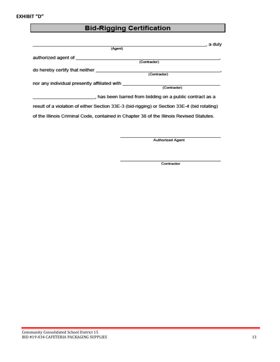# **Bid-Rigging Certification**

| a duly                                                                                      |
|---------------------------------------------------------------------------------------------|
| (Agent)                                                                                     |
| authorized agent of subsequent of the state of                                              |
| (Contractor)                                                                                |
| do hereby certify that neither                                                              |
| (Contractor)                                                                                |
| nor any individual presently affiliated with                                                |
| (Contractor)                                                                                |
| , has been barred from bidding on a public contract as a                                    |
| result of a violation of either Section 33E-3 (bid-rigging) or Section 33E-4 (bid rotating) |
| of the Illinois Criminal Code, contained in Chapter 38 of the Illinois Revised Statutes.    |

**Authorized Agent** 

Contractor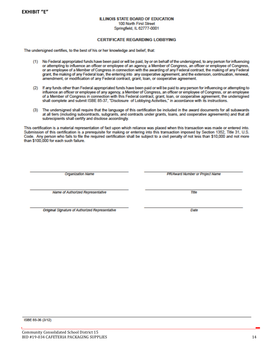**EXHIBIT "E"**

#### **ILLINOIS STATE BOARD OF EDUCATION**

100 North First Street Springfield, IL 62777-0001

#### **CERTIFICATE REGARDING LORRYING**

The undersigned certifies, to the best of his or her knowledge and belief, that:

- (1) No Federal appropriated funds have been paid or will be paid, by or on behalf of the undersigned, to any person for influencing or attempting to influence an officer or employee of an agency, a Member of Congress, an officer or employee of Congress, or an employee of a Member of Congress in connection with the awarding of any Federal contract, the making of any Federal grant, the making of any Federal loan, the entering into any cooperative agreement, and the extension, continuation, renewal, amendment, or modification of any Federal contract, grant, loan, or cooperative agreement.
- If any funds other than Federal appropriated funds have been paid or will be paid to any person for influencing or attempting to  $(2)$ influence an officer or employee of any agency, a Member of Congress, an officer or employee of Congress, or an employee of a Member of Congress in connection with this Federal contract, grant, loan, or cooperative agreement, the undersigned shall complete and submit ISBE 85-37, "Disclosure of Lobbying Activities," in accordance with its instructions.
- (3) The undersigned shall require that the language of this certification be included in the award documents for all subawards at all tiers (including subcontracts, subgrants, and contracts under grants, loans, and cooperative agreements) and that all subrecipients shall certify and disclose accordingly.

This certification is a material representation of fact upon which reliance was placed when this transaction was made or entered into. Submission of this certification is a prerequisite for making or entering into this transaction imposed by Section 1352. Title 31, U.S. Code. Any person who fails to file the required certification shall be subject to a civil penalty of not less than \$10,000 and not more than \$100,000 for each such failure.

Organization Name

PR/Award Number or Project Name

Name of Authorized Representative

Original Signature of Authorized Representative

ISBE 85-36 (3/12)

 $\overline{n}$ <sub>b</sub>e

Date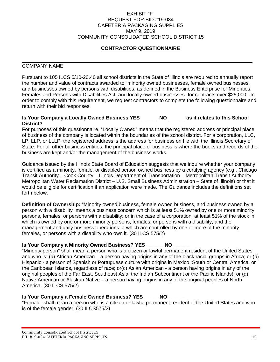#### EXHIBIT "F" REQUEST FOR BID #19-034 CAFETERIA PACKAGING SUPPLIES MAY 9, 2019 COMMUNITY CONSOLIDATED SCHOOL DISTRICT 15

## **CONTRACTOR QUESTIONNAIRE**

#### COMPANY NAME

Pursuant to 105 ILCS 5/10-20.40 all school districts in the State of Illinois are required to annually report the number and value of contracts awarded to "minority owned businesses, female owned businesses, and businesses owned by persons with disabilities, as defined in the Business Enterprise for Minorities, Females and Persons with Disabilities Act, and locally owned businesses" for contracts over \$25,000. In order to comply with this requirement, we request contractors to complete the following questionnaire and return with their bid responses.

#### **Is Your Company a Locally Owned Business YES \_\_\_\_\_\_ NO \_\_\_\_\_\_ as it relates to this School District?**

For purposes of this questionnaire, "Locally Owned" means that the registered address or principal place of business of the company is located within the boundaries of the school district. For a corporation, LLC, LP, LLP, or LLLP, the registered address is the address for business on file with the Illinois Secretary of State. For all other business entities, the principal place of business is where the books and records of the business are kept and/or the management of the business works.

Guidance issued by the Illinois State Board of Education suggests that we inquire whether your company is certified as a minority, female, or disabled person owned business by a certifying agency (e.g., Chicago Transit Authority – Cook County – Illinois Department of Transportation – Metropolitan Transit Authority Metropolitan Water Reclamation District – U.S. Small Business Administration – State of Illinois) or that it would be eligible for certification if an application were made. The Guidance includes the definitions set forth below.

**Definition of Ownership:** "Minority owned business, female owned business, and business owned by a person with a disability" means a business concern which is at least 51% owned by one or more minority persons, females, or persons with a disability; or in the case of a corporation, at least 51% of the stock in which is owned by one or more minority persons, females, or persons with a disability; and the management and daily business operations of which are controlled by one or more of the minority females, or persons with a disability who own it. (30 ILCS 575/2)

### **Is Your Company a Minority Owned Business? YES \_\_\_\_\_\_ NO \_\_\_\_\_\_**

"Minority person" shall mean a person who is a citizen or lawful permanent resident of the United States and who is: (a) African American – a person having origins in any of the black racial groups in Africa; or (b) Hispanic - a person of Spanish or Portuguese culture with origins in Mexico, South or Central America, or the Caribbean Islands, regardless of race; or(c) Asian American - a person having origins in any of the original peoples of the Far East, Southeast Asia, the Indian Subcontinent or the Pacific Islands); or (d) Native American or Alaskan Native – a person having origins in any of the original peoples of North America. (30 ILCS 575/2)

### **Is Your Company a Female Owned Business? YES NO**

"Female" shall mean a person who is a citizen or lawful permanent resident of the United States and who is of the female gender. (30 ILCS575/2)